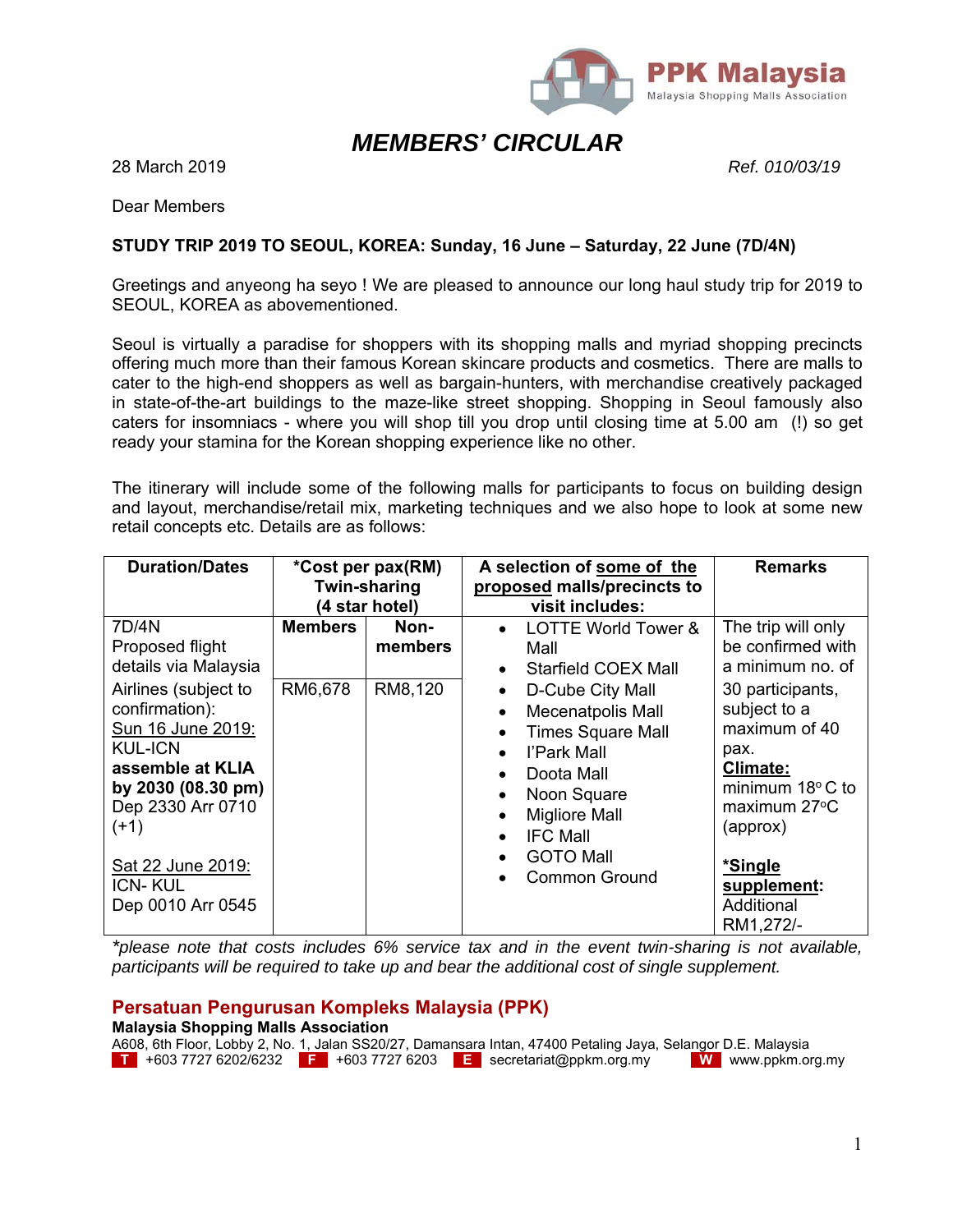

# *MEMBERS' CIRCULAR*

28 March 2019 *Ref. 010/03/19*

Dear Members

## **STUDY TRIP 2019 TO SEOUL, KOREA: Sunday, 16 June – Saturday, 22 June (7D/4N)**

Greetings and anyeong ha seyo ! We are pleased to announce our long haul study trip for 2019 to SEOUL, KOREA as abovementioned.

Seoul is virtually a paradise for shoppers with its shopping malls and myriad shopping precincts offering much more than their famous Korean skincare products and cosmetics. There are malls to cater to the high-end shoppers as well as bargain-hunters, with merchandise creatively packaged in state-of-the-art buildings to the maze-like street shopping. Shopping in Seoul famously also caters for insomniacs - where you will shop till you drop until closing time at 5.00 am (!) so get ready your stamina for the Korean shopping experience like no other.

The itinerary will include some of the following malls for participants to focus on building design and layout, merchandise/retail mix, marketing techniques and we also hope to look at some new retail concepts etc. Details are as follows:

| <b>Duration/Dates</b>                                                                                                                                                                                                                                                | *Cost per pax(RM)<br><b>Twin-sharing</b><br>(4 star hotel) |                            | A selection of some of the<br>proposed malls/precincts to<br>visit includes: |                                                                                                                                                                                                                                                                              | <b>Remarks</b>                                                                                                                                                                                                                                     |
|----------------------------------------------------------------------------------------------------------------------------------------------------------------------------------------------------------------------------------------------------------------------|------------------------------------------------------------|----------------------------|------------------------------------------------------------------------------|------------------------------------------------------------------------------------------------------------------------------------------------------------------------------------------------------------------------------------------------------------------------------|----------------------------------------------------------------------------------------------------------------------------------------------------------------------------------------------------------------------------------------------------|
| 7D/4N<br>Proposed flight<br>details via Malaysia<br>Airlines (subject to<br>confirmation):<br>Sun 16 June 2019:<br><b>KUL-ICN</b><br>assemble at KLIA<br>by 2030 (08.30 pm)<br>Dep 2330 Arr 0710<br>(+1)<br>Sat 22 June 2019:<br><b>ICN-KUL</b><br>Dep 0010 Arr 0545 | <b>Members</b><br>RM6,678                                  | Non-<br>members<br>RM8,120 | $\bullet$<br>$\bullet$<br>$\bullet$<br>$\bullet$<br>$\bullet$                | <b>LOTTE World Tower &amp;</b><br>Mall<br>Starfield COEX Mall<br>D-Cube City Mall<br><b>Mecenatpolis Mall</b><br><b>Times Square Mall</b><br>l'Park Mall<br>Doota Mall<br>Noon Square<br><b>Migliore Mall</b><br><b>IFC Mall</b><br><b>GOTO Mall</b><br><b>Common Ground</b> | The trip will only<br>be confirmed with<br>a minimum no. of<br>30 participants,<br>subject to a<br>maximum of 40<br>pax.<br>Climate:<br>minimum $18^{\circ}$ C to<br>maximum 27°C<br>(approx)<br>*Single<br>supplement:<br>Additional<br>RM1,272/- |

*\*please note that costs includes 6% service tax and in the event twin-sharing is not available, participants will be required to take up and bear the additional cost of single supplement.* 

## **Persatuan Pengurusan Kompleks Malaysia (PPK)**

|  | <b>Malaysia Shopping Malls Association</b> |  |  |                                                                                                              |                          |
|--|--------------------------------------------|--|--|--------------------------------------------------------------------------------------------------------------|--------------------------|
|  |                                            |  |  | A608, 6th Floor, Lobby 2, No. 1, Jalan SS20/27, Damansara Intan, 47400 Petaling Jaya, Selangor D.E. Malaysia |                          |
|  |                                            |  |  | <b>T</b> +603 7727 6202/6232 <b>F</b> +603 7727 6203 <b>E</b> secretariat@ppkm.org.my                        | <b>W</b> www.ppkm.org.my |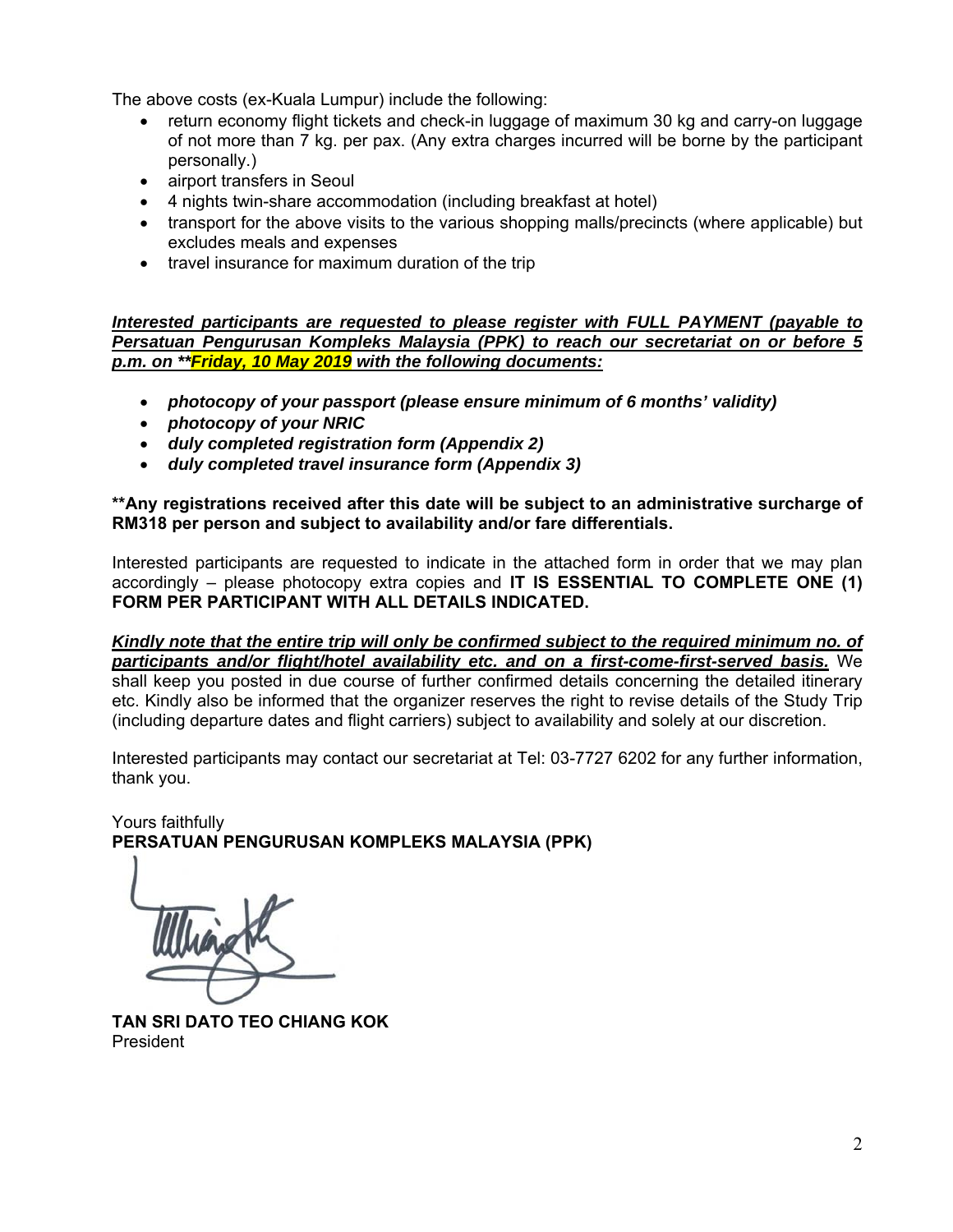The above costs (ex-Kuala Lumpur) include the following:

- return economy flight tickets and check-in luggage of maximum 30 kg and carry-on luggage of not more than 7 kg. per pax. (Any extra charges incurred will be borne by the participant personally.)
- airport transfers in Seoul
- 4 nights twin-share accommodation (including breakfast at hotel)
- transport for the above visits to the various shopping malls/precincts (where applicable) but excludes meals and expenses
- travel insurance for maximum duration of the trip

*Interested participants are requested to please register with FULL PAYMENT (payable to Persatuan Pengurusan Kompleks Malaysia (PPK) to reach our secretariat on or before 5 p.m. on \*\*Friday, 10 May 2019 with the following documents:* 

- *photocopy of your passport (please ensure minimum of 6 months' validity)*
- *photocopy of your NRIC*
- *duly completed registration form (Appendix 2)*
- *duly completed travel insurance form (Appendix 3)*

**\*\*Any registrations received after this date will be subject to an administrative surcharge of RM318 per person and subject to availability and/or fare differentials.** 

Interested participants are requested to indicate in the attached form in order that we may plan accordingly – please photocopy extra copies and **IT IS ESSENTIAL TO COMPLETE ONE (1) FORM PER PARTICIPANT WITH ALL DETAILS INDICATED.**

*Kindly note that the entire trip will only be confirmed subject to the required minimum no. of participants and/or flight/hotel availability etc. and on a first-come-first-served basis.* We shall keep you posted in due course of further confirmed details concerning the detailed itinerary etc. Kindly also be informed that the organizer reserves the right to revise details of the Study Trip (including departure dates and flight carriers) subject to availability and solely at our discretion.

Interested participants may contact our secretariat at Tel: 03-7727 6202 for any further information, thank you.

Yours faithfully **PERSATUAN PENGURUSAN KOMPLEKS MALAYSIA (PPK)** 

**TAN SRI DATO TEO CHIANG KOK**  President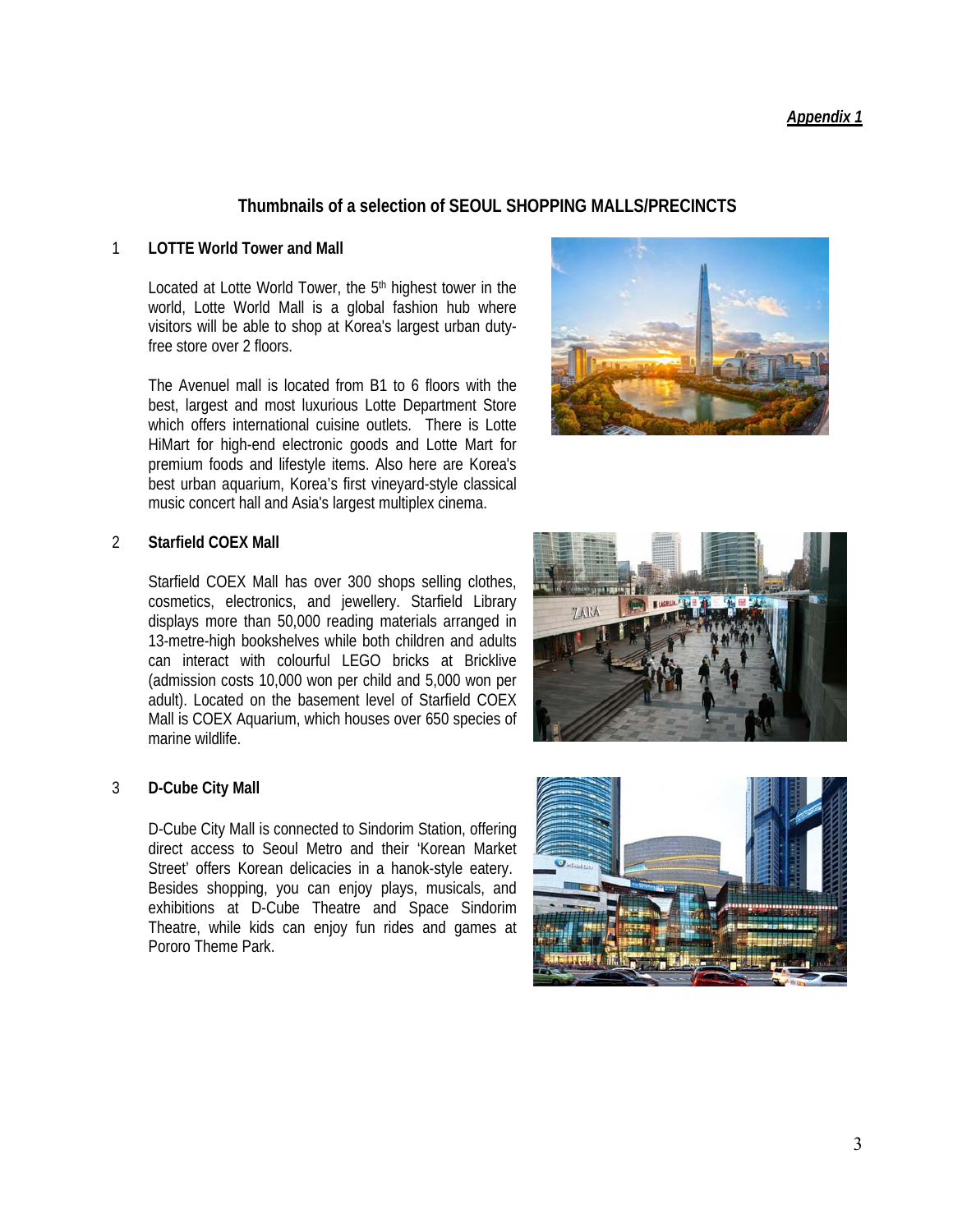3

# *Appendix 1*

# **Thumbnails of a selection of SEOUL SHOPPING MALLS/PRECINCTS**

## 1 **LOTTE World Tower and Mall**

Located at Lotte World Tower, the 5<sup>th</sup> highest tower in the world, Lotte World Mall is a global fashion hub where visitors will be able to shop at Korea's largest urban dutyfree store over 2 floors.

The Avenuel mall is located from B1 to 6 floors with the best, largest and most luxurious Lotte Department Store which offers international cuisine outlets. There is Lotte HiMart for high-end electronic goods and Lotte Mart for premium foods and lifestyle items. Also here are Korea's best urban aquarium, Korea's first vineyard-style classical music concert hall and Asia's largest multiplex cinema.

# 2 **Starfield COEX Mall**

Starfield COEX Mall has over 300 shops selling clothes, cosmetics, electronics, and jewellery. Starfield Library displays more than 50,000 reading materials arranged in 13-metre-high bookshelves while both children and adults can interact with colourful LEGO bricks at Bricklive (admission costs 10,000 won per child and 5,000 won per adult). Located on the basement level of Starfield COEX Mall is COEX Aquarium, which houses over 650 species of marine wildlife.

# 3 **D-Cube City Mall**

D-Cube City Mall is connected to Sindorim Station, offering direct access to Seoul Metro and their 'Korean Market Street' offers Korean delicacies in a hanok-style eatery. Besides shopping, you can enjoy plays, musicals, and exhibitions at D-Cube Theatre and Space Sindorim Theatre, while kids can enjoy fun rides and games at Pororo Theme Park.





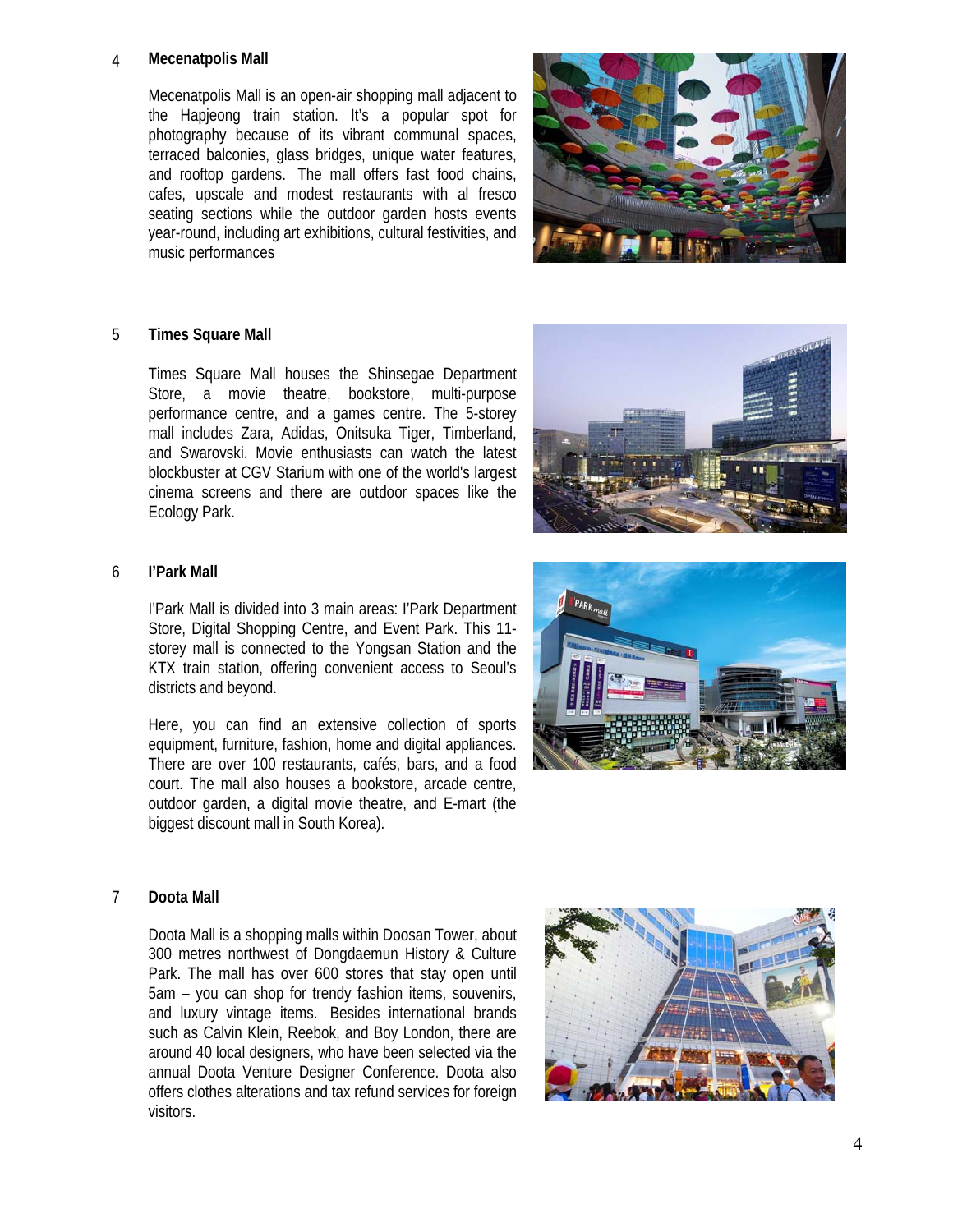#### 4 **Mecenatpolis Mall**

Mecenatpolis Mall is an open-air shopping mall adjacent to the Hapjeong train station. It's a popular spot for photography because of its vibrant communal spaces, terraced balconies, glass bridges, unique water features, and rooftop gardens. The mall offers fast food chains, cafes, upscale and modest restaurants with al fresco seating sections while the outdoor garden hosts events year-round, including art exhibitions, cultural festivities, and music performances



#### 5 **Times Square Mall**

Times Square Mall houses the Shinsegae Department Store, a movie theatre, bookstore, multi-purpose performance centre, and a games centre. The 5-storey mall includes Zara, Adidas, Onitsuka Tiger, Timberland, and Swarovski. Movie enthusiasts can watch the latest blockbuster at CGV Starium with one of the world's largest cinema screens and there are outdoor spaces like the Ecology Park.



## 6 **I'Park Mall**

I'Park Mall is divided into 3 main areas: I'Park Department Store, Digital Shopping Centre, and Event Park. This 11 storey mall is connected to the Yongsan Station and the KTX train station, offering convenient access to Seoul's districts and beyond.

Here, you can find an extensive collection of sports equipment, furniture, fashion, home and digital appliances. There are over 100 restaurants, cafés, bars, and a food court. The mall also houses a bookstore, arcade centre, outdoor garden, a digital movie theatre, and E-mart (the biggest discount mall in South Korea).



#### 7 **Doota Mall**

Doota Mall is a shopping malls within Doosan Tower, about 300 metres northwest of Dongdaemun History & Culture Park. The mall has over 600 stores that stay open until 5am – you can shop for trendy fashion items, souvenirs, and luxury vintage items. Besides international brands such as Calvin Klein, Reebok, and Boy London, there are around 40 local designers, who have been selected via the annual Doota Venture Designer Conference. Doota also offers clothes alterations and tax refund services for foreign visitors.

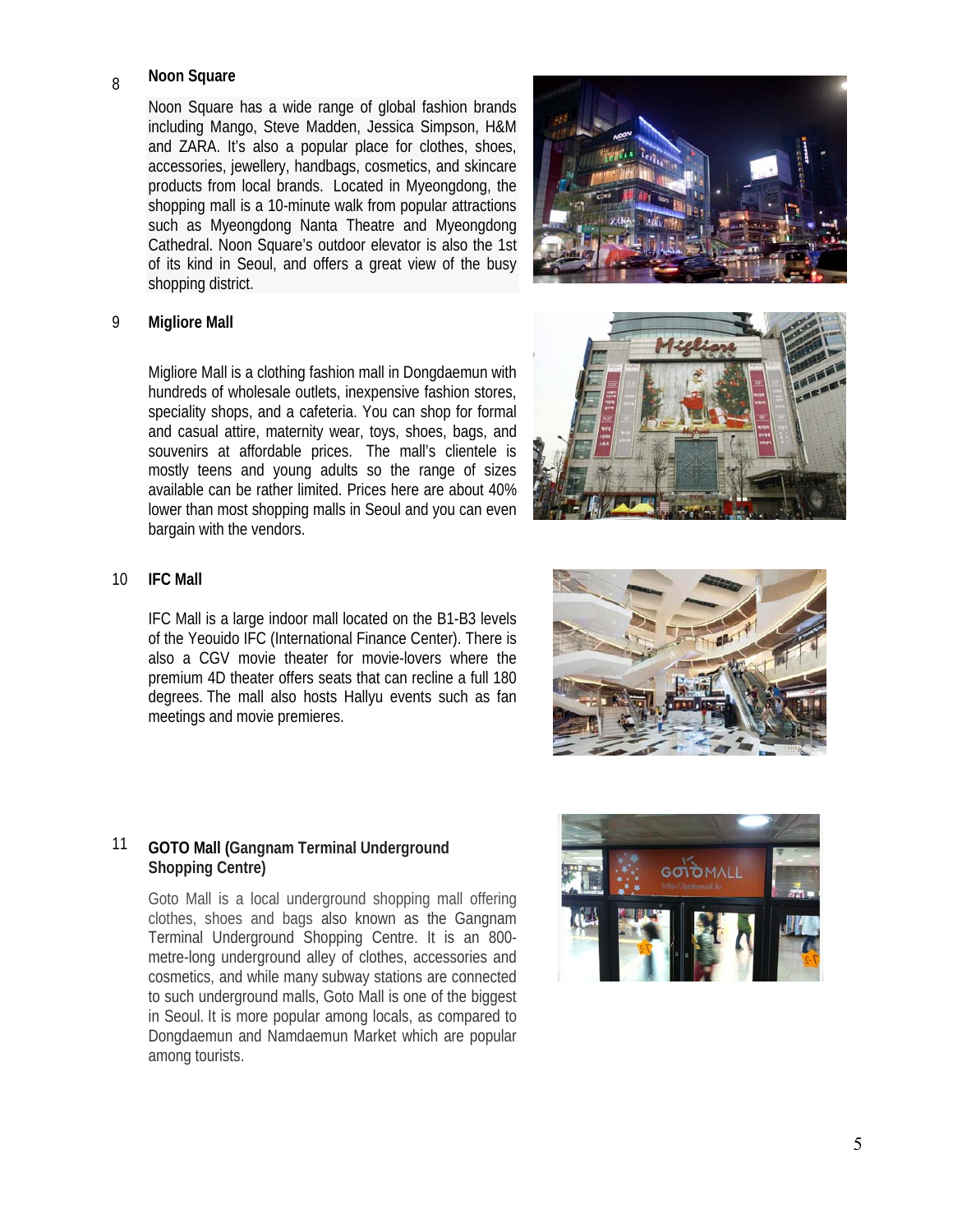## <sup>8</sup>**Noon Square**

Noon Square has a wide range of global fashion brands including Mango, Steve Madden, Jessica Simpson, H&M and ZARA. It's also a popular place for clothes, shoes, accessories, jewellery, handbags, cosmetics, and skincare products from local brands. Located in Myeongdong, the shopping mall is a 10-minute walk from popular attractions such as Myeongdong Nanta Theatre and Myeongdong Cathedral. Noon Square's outdoor elevator is also the 1st of its kind in Seoul, and offers a great view of the busy shopping district.

#### 9 **Migliore Mall**

Migliore Mall is a clothing fashion mall in Dongdaemun with hundreds of wholesale outlets, inexpensive fashion stores, speciality shops, and a cafeteria. You can shop for formal and casual attire, maternity wear, toys, shoes, bags, and souvenirs at affordable prices. The mall's clientele is mostly teens and young adults so the range of sizes available can be rather limited. Prices here are about 40% lower than most shopping malls in Seoul and you can even bargain with the vendors.

#### 10 **IFC Mall**

IFC Mall is a large indoor mall located on the B1-B3 levels of the Yeouido IFC (International Finance Center). There is also a CGV movie theater for movie-lovers where the premium 4D theater offers seats that can recline a full 180 degrees. The mall also hosts Hallyu events such as fan meetings and movie premieres.

## 11 **GOTO Mall (Gangnam Terminal Underground Shopping Centre)**

Goto Mall is a local underground shopping mall offering clothes, shoes and bags also known as the Gangnam Terminal Underground Shopping Centre. It is an 800 metre-long underground alley of clothes, accessories and cosmetics, and while many subway stations are connected to such underground malls, Goto Mall is one of the biggest in Seoul. It is more popular among locals, as compared to Dongdaemun and Namdaemun Market which are popular among tourists.







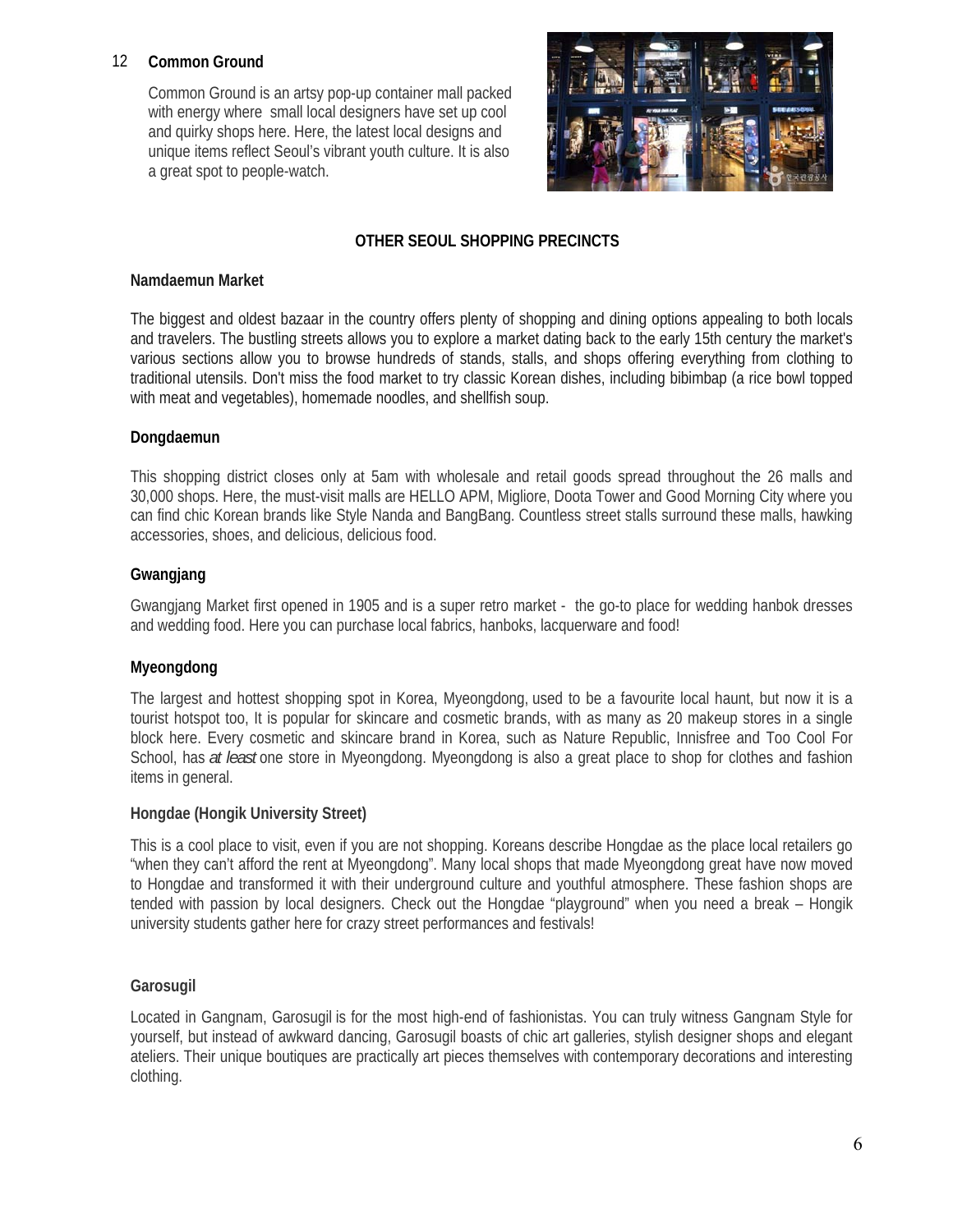## 12 **Common Ground**

Common Ground is an artsy pop-up container mall packed with energy where small local designers have set up cool and quirky shops here. Here, the latest local designs and unique items reflect Seoul's vibrant youth culture. It is also a great spot to people-watch.



## **OTHER SEOUL SHOPPING PRECINCTS**

## **Namdaemun Market**

The biggest and oldest bazaar in the country offers plenty of shopping and dining options appealing to both locals and travelers. The bustling streets allows you to explore a market dating back to the early 15th century the market's various sections allow you to browse hundreds of stands, stalls, and shops offering everything from clothing to traditional utensils. Don't miss the food market to try classic Korean dishes, including bibimbap (a rice bowl topped with meat and vegetables), homemade noodles, and shellfish soup.

## **Dongdaemun**

This shopping district closes only at 5am with wholesale and retail goods spread throughout the 26 malls and 30,000 shops. Here, the must-visit malls are HELLO APM, Migliore, Doota Tower and Good Morning City where you can find chic Korean brands like Style Nanda and BangBang. Countless street stalls surround these malls, hawking accessories, shoes, and delicious, delicious food.

## **Gwangjang**

Gwangjang Market first opened in 1905 and is a super retro market - the go-to place for wedding hanbok dresses and wedding food. Here you can purchase local fabrics, hanboks, lacquerware and food!

## **Myeongdong**

The largest and hottest shopping spot in Korea, Myeongdong, used to be a favourite local haunt, but now it is a tourist hotspot too, It is popular for skincare and cosmetic brands, with as many as 20 makeup stores in a single block here. Every cosmetic and skincare brand in Korea, such as Nature Republic, Innisfree and Too Cool For School, has *at least* one store in Myeongdong. Myeongdong is also a great place to shop for clothes and fashion items in general.

## **Hongdae (Hongik University Street)**

This is a cool place to visit, even if you are not shopping. Koreans describe Hongdae as the place local retailers go "when they can't afford the rent at Myeongdong". Many local shops that made Myeongdong great have now moved to Hongdae and transformed it with their underground culture and youthful atmosphere. These fashion shops are tended with passion by local designers. Check out the Hongdae "playground" when you need a break – Hongik university students gather here for crazy street performances and festivals!

## **Garosugil**

Located in Gangnam, Garosugil is for the most high-end of fashionistas. You can truly witness Gangnam Style for yourself, but instead of awkward dancing, Garosugil boasts of chic art galleries, stylish designer shops and elegant ateliers. Their unique boutiques are practically art pieces themselves with contemporary decorations and interesting clothing.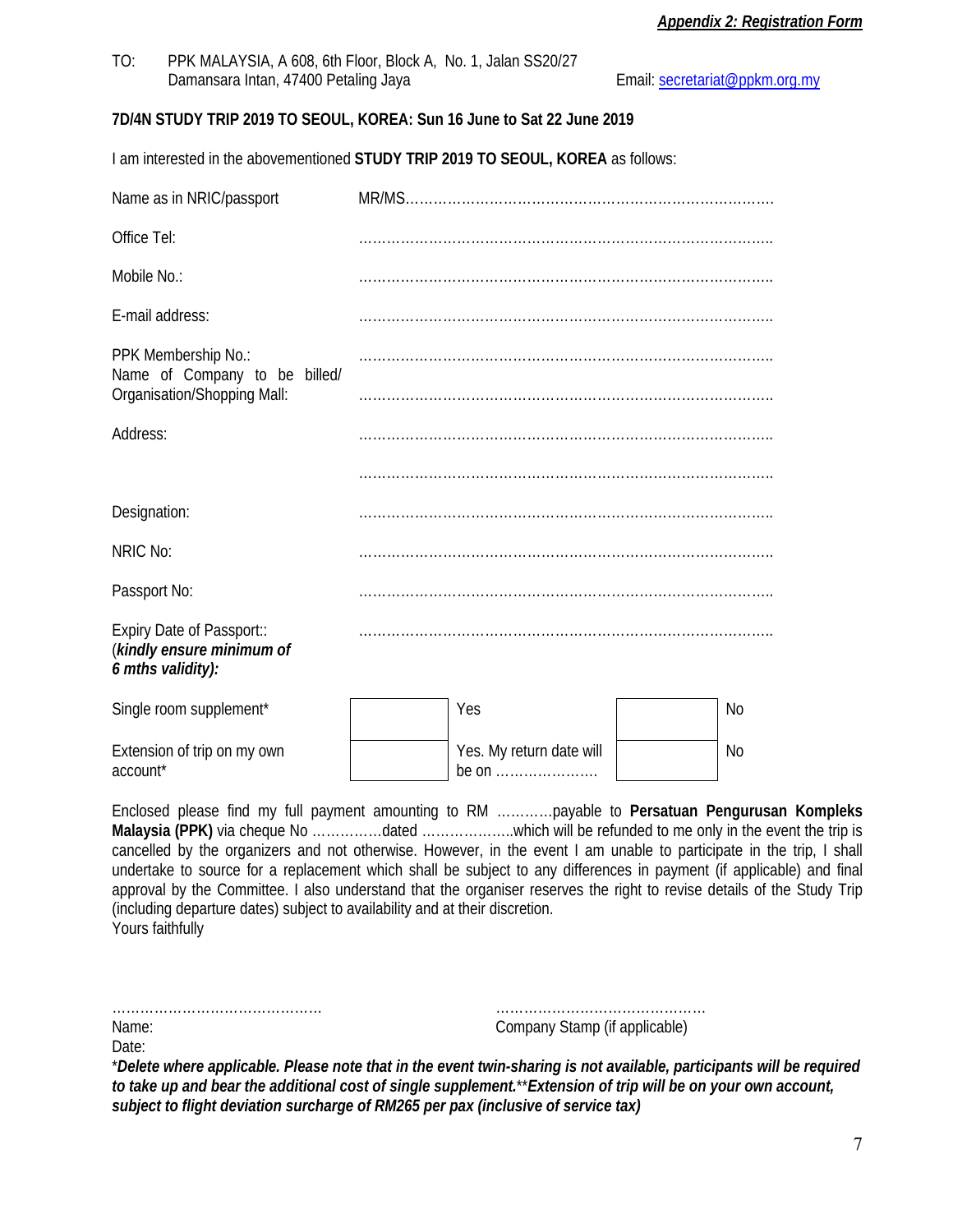TO: PPK MALAYSIA, A 608, 6th Floor, Block A, No. 1, Jalan SS20/27 Damansara Intan, 47400 Petaling Jaya **Email:** secretariat@ppkm.org.my

## **7D/4N STUDY TRIP 2019 TO SEOUL, KOREA: Sun 16 June to Sat 22 June 2019**

I am interested in the abovementioned **STUDY TRIP 2019 TO SEOUL, KOREA** as follows:

| Name as in NRIC/passport                                                            |                                   |           |
|-------------------------------------------------------------------------------------|-----------------------------------|-----------|
| Office Tel:                                                                         |                                   |           |
| Mobile No.:                                                                         |                                   |           |
| E-mail address:                                                                     |                                   |           |
| PPK Membership No.:<br>Name of Company to be billed/<br>Organisation/Shopping Mall: |                                   |           |
|                                                                                     |                                   |           |
| Address:                                                                            |                                   |           |
|                                                                                     |                                   |           |
| Designation:                                                                        |                                   |           |
| NRIC No:                                                                            |                                   |           |
| Passport No:                                                                        |                                   |           |
| Expiry Date of Passport::<br>(kindly ensure minimum of<br>6 mths validity):         |                                   |           |
| Single room supplement*                                                             | Yes                               | No        |
| Extension of trip on my own<br>account*                                             | Yes. My return date will<br>be on | <b>No</b> |

Enclosed please find my full payment amounting to RM …………payable to **Persatuan Pengurusan Kompleks Malaysia (PPK)** via cheque No ……………dated ………………..which will be refunded to me only in the event the trip is cancelled by the organizers and not otherwise. However, in the event I am unable to participate in the trip, I shall undertake to source for a replacement which shall be subject to any differences in payment (if applicable) and final approval by the Committee. I also understand that the organiser reserves the right to revise details of the Study Trip (including departure dates) subject to availability and at their discretion. Yours faithfully

| Name: | Company Stamp (if applicable) |
|-------|-------------------------------|
|       |                               |
| Date: |                               |

\**Delete where applicable. Please note that in the event twin-sharing is not available, participants will be required to take up and bear the additional cost of single supplement.*\*\**Extension of trip will be on your own account, subject to flight deviation surcharge of RM265 per pax (inclusive of service tax)*